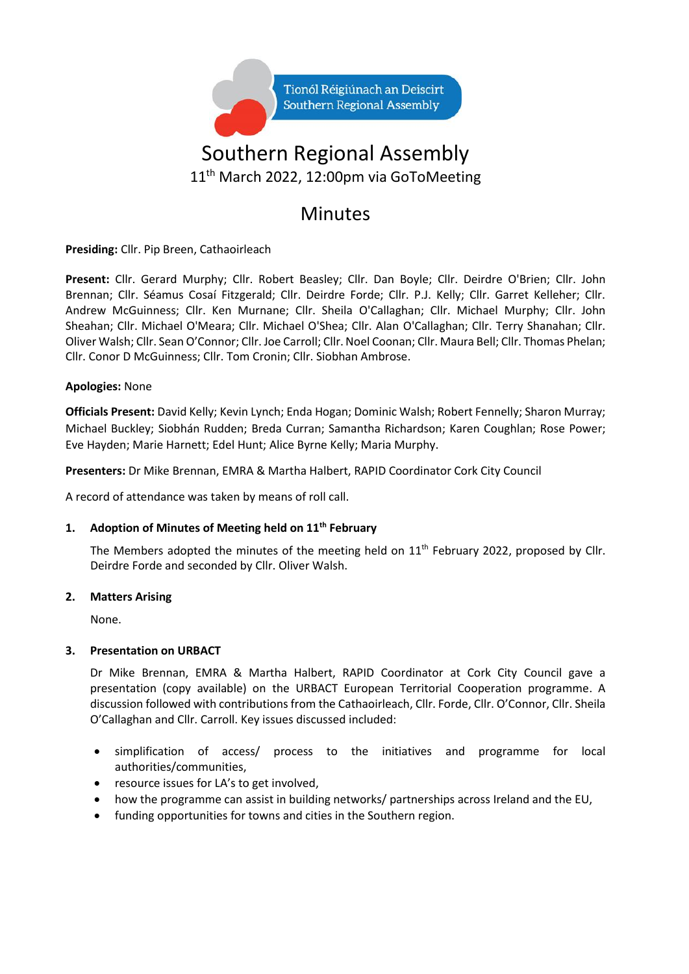

# Southern Regional Assembly 11th March 2022, 12:00pm via GoToMeeting

# Minutes

**Presiding:** Cllr. Pip Breen, Cathaoirleach

**Present:** Cllr. Gerard Murphy; Cllr. Robert Beasley; Cllr. Dan Boyle; Cllr. Deirdre O'Brien; Cllr. John Brennan; Cllr. Séamus Cosaí Fitzgerald; Cllr. Deirdre Forde; Cllr. P.J. Kelly; Cllr. Garret Kelleher; Cllr. Andrew McGuinness; Cllr. Ken Murnane; Cllr. Sheila O'Callaghan; Cllr. Michael Murphy; Cllr. John Sheahan; Cllr. Michael O'Meara; Cllr. Michael O'Shea; Cllr. Alan O'Callaghan; Cllr. Terry Shanahan; Cllr. Oliver Walsh; Cllr. Sean O'Connor; Cllr. Joe Carroll; Cllr. Noel Coonan; Cllr. Maura Bell; Cllr. Thomas Phelan; Cllr. Conor D McGuinness; Cllr. Tom Cronin; Cllr. Siobhan Ambrose.

# **Apologies:** None

**Officials Present:** David Kelly; Kevin Lynch; Enda Hogan; Dominic Walsh; Robert Fennelly; Sharon Murray; Michael Buckley; Siobhán Rudden; Breda Curran; Samantha Richardson; Karen Coughlan; Rose Power; Eve Hayden; Marie Harnett; Edel Hunt; Alice Byrne Kelly; Maria Murphy.

**Presenters:** Dr Mike Brennan, EMRA & Martha Halbert, RAPID Coordinator Cork City Council

A record of attendance was taken by means of roll call.

#### **1. Adoption of Minutes of Meeting held on 11th February**

The Members adopted the minutes of the meeting held on  $11<sup>th</sup>$  February 2022, proposed by Cllr. Deirdre Forde and seconded by Cllr. Oliver Walsh.

#### **2. Matters Arising**

None.

#### **3. Presentation on URBACT**

Dr Mike Brennan, EMRA & Martha Halbert, RAPID Coordinator at Cork City Council gave a presentation (copy available) on the URBACT European Territorial Cooperation programme. A discussion followed with contributions from the Cathaoirleach, Cllr. Forde, Cllr. O'Connor, Cllr. Sheila O'Callaghan and Cllr. Carroll. Key issues discussed included:

- simplification of access/ process to the initiatives and programme for local authorities/communities,
- resource issues for LA's to get involved,
- how the programme can assist in building networks/ partnerships across Ireland and the EU,
- funding opportunities for towns and cities in the Southern region.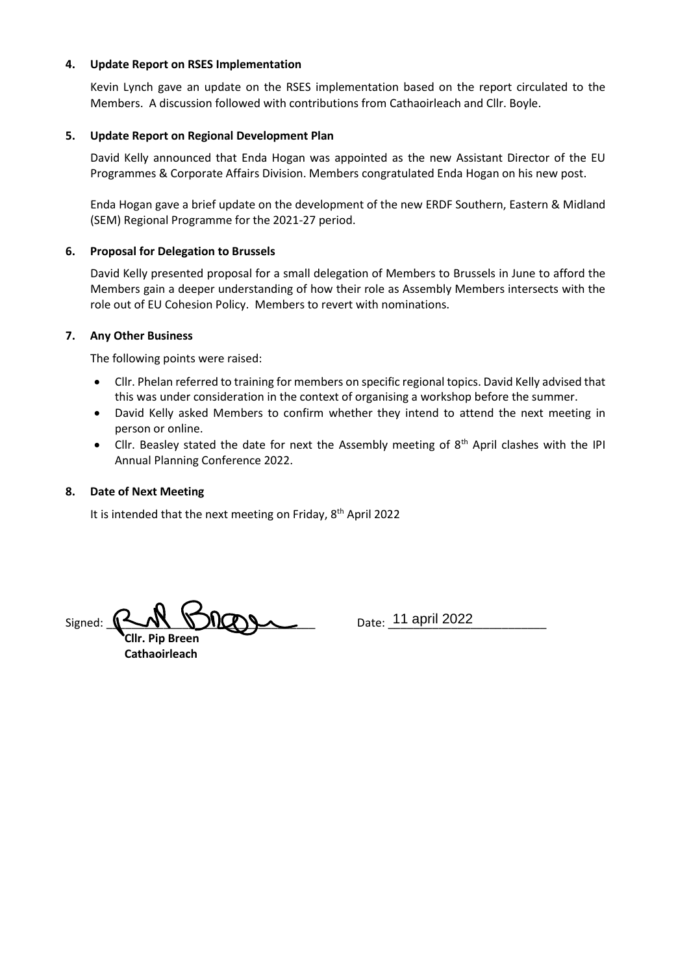#### **4. Update Report on RSES Implementation**

Kevin Lynch gave an update on the RSES implementation based on the report circulated to the Members. A discussion followed with contributions from Cathaoirleach and Cllr. Boyle.

## **5. Update Report on Regional Development Plan**

David Kelly announced that Enda Hogan was appointed as the new Assistant Director of the EU Programmes & Corporate Affairs Division. Members congratulated Enda Hogan on his new post.

Enda Hogan gave a brief update on the development of the new ERDF Southern, Eastern & Midland (SEM) Regional Programme for the 2021-27 period.

# **6. Proposal for Delegation to Brussels**

David Kelly presented proposal for a small delegation of Members to Brussels in June to afford the Members gain a deeper understanding of how their role as Assembly Members intersects with the role out of EU Cohesion Policy. Members to revert with nominations.

#### **7. Any Other Business**

The following points were raised:

- Cllr. Phelan referred to training for members on specific regional topics. David Kelly advised that this was under consideration in the context of organising a workshop before the summer.
- David Kelly asked Members to confirm whether they intend to attend the next meeting in person or online.
- Cllr. Beasley stated the date for next the Assembly meeting of  $8<sup>th</sup>$  April clashes with the IPI Annual Planning Conference 2022.

## **8. Date of Next Meeting**

It is intended that the next meeting on Friday, 8<sup>th</sup> April 2022

Signed: \_\_\_\_\_\_\_\_\_\_\_\_\_\_\_\_\_\_\_\_\_\_\_\_\_\_\_\_\_\_\_\_\_ Date: \_\_\_\_\_\_\_\_\_\_\_\_\_\_\_\_\_\_\_\_\_\_\_\_\_ 11 april 2022

 **Cllr. Pip Breen Cathaoirleach**